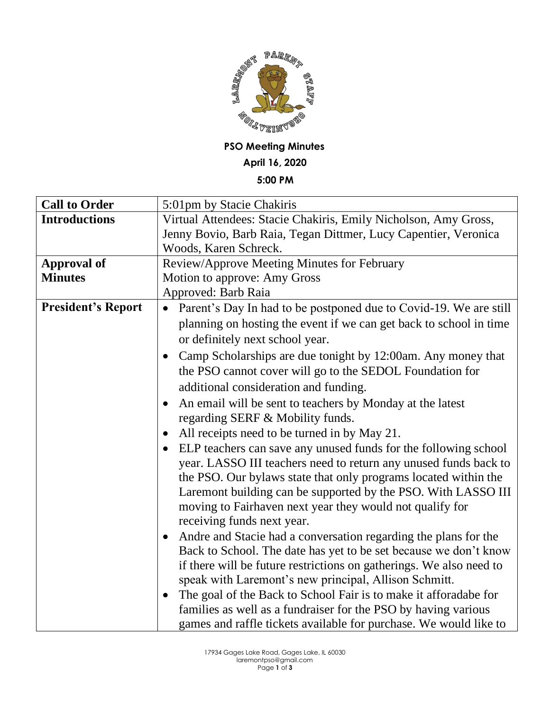

## **PSO Meeting Minutes**

### **April 16, 2020**

### **5:00 PM**

| <b>Call to Order</b>      | 5:01pm by Stacie Chakiris                                                    |
|---------------------------|------------------------------------------------------------------------------|
| <b>Introductions</b>      | Virtual Attendees: Stacie Chakiris, Emily Nicholson, Amy Gross,              |
|                           | Jenny Bovio, Barb Raia, Tegan Dittmer, Lucy Capentier, Veronica              |
|                           | Woods, Karen Schreck.                                                        |
| <b>Approval of</b>        | Review/Approve Meeting Minutes for February                                  |
| <b>Minutes</b>            | Motion to approve: Amy Gross                                                 |
|                           | Approved: Barb Raia                                                          |
| <b>President's Report</b> | Parent's Day In had to be postponed due to Covid-19. We are still            |
|                           | planning on hosting the event if we can get back to school in time           |
|                           | or definitely next school year.                                              |
|                           | Camp Scholarships are due tonight by 12:00am. Any money that                 |
|                           | the PSO cannot cover will go to the SEDOL Foundation for                     |
|                           | additional consideration and funding.                                        |
|                           | An email will be sent to teachers by Monday at the latest                    |
|                           | regarding SERF & Mobility funds.                                             |
|                           | All receipts need to be turned in by May 21.<br>$\bullet$                    |
|                           | ELP teachers can save any unused funds for the following school<br>$\bullet$ |
|                           | year. LASSO III teachers need to return any unused funds back to             |
|                           | the PSO. Our bylaws state that only programs located within the              |
|                           | Laremont building can be supported by the PSO. With LASSO III                |
|                           | moving to Fairhaven next year they would not qualify for                     |
|                           | receiving funds next year.                                                   |
|                           | Andre and Stacie had a conversation regarding the plans for the<br>$\bullet$ |
|                           | Back to School. The date has yet to be set because we don't know             |
|                           | if there will be future restrictions on gatherings. We also need to          |
|                           | speak with Laremont's new principal, Allison Schmitt.                        |
|                           | The goal of the Back to School Fair is to make it afforadabe for             |
|                           | families as well as a fundraiser for the PSO by having various               |
|                           | games and raffle tickets available for purchase. We would like to            |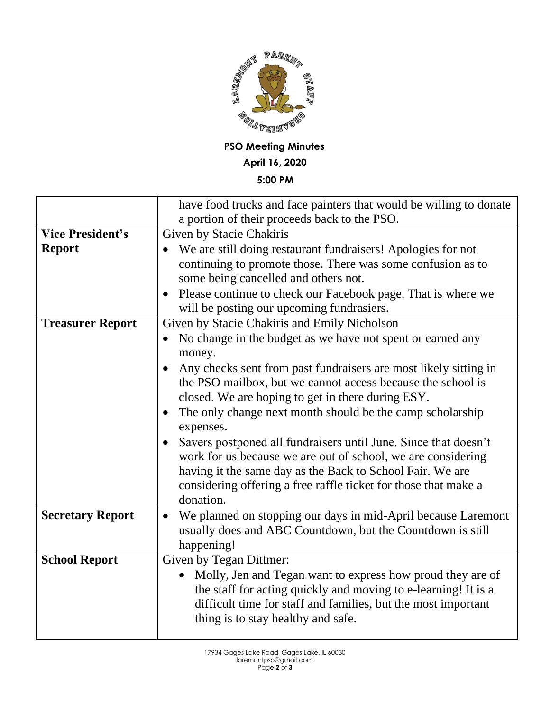

**PSO Meeting Minutes April 16, 2020**

# **5:00 PM**

|                         | have food trucks and face painters that would be willing to donate      |
|-------------------------|-------------------------------------------------------------------------|
|                         | a portion of their proceeds back to the PSO.                            |
| <b>Vice President's</b> | Given by Stacie Chakiris                                                |
| <b>Report</b>           | We are still doing restaurant fundraisers! Apologies for not            |
|                         | continuing to promote those. There was some confusion as to             |
|                         | some being cancelled and others not.                                    |
|                         | Please continue to check our Facebook page. That is where we            |
|                         | will be posting our upcoming fundrasiers.                               |
| <b>Treasurer Report</b> | Given by Stacie Chakiris and Emily Nicholson                            |
|                         | No change in the budget as we have not spent or earned any              |
|                         | money.                                                                  |
|                         | Any checks sent from past fundraisers are most likely sitting in        |
|                         | the PSO mailbox, but we cannot access because the school is             |
|                         | closed. We are hoping to get in there during ESY.                       |
|                         | The only change next month should be the camp scholarship<br>$\bullet$  |
|                         | expenses.                                                               |
|                         | Savers postponed all fundraisers until June. Since that doesn't         |
|                         | work for us because we are out of school, we are considering            |
|                         | having it the same day as the Back to School Fair. We are               |
|                         | considering offering a free raffle ticket for those that make a         |
|                         | donation.                                                               |
| <b>Secretary Report</b> | We planned on stopping our days in mid-April because Laremont           |
|                         | usually does and ABC Countdown, but the Countdown is still              |
|                         | happening!                                                              |
| <b>School Report</b>    | <b>Given by Tegan Dittmer:</b>                                          |
|                         | Molly, Jen and Tegan want to express how proud they are of<br>$\bullet$ |
|                         | the staff for acting quickly and moving to e-learning! It is a          |
|                         | difficult time for staff and families, but the most important           |
|                         | thing is to stay healthy and safe.                                      |
|                         |                                                                         |